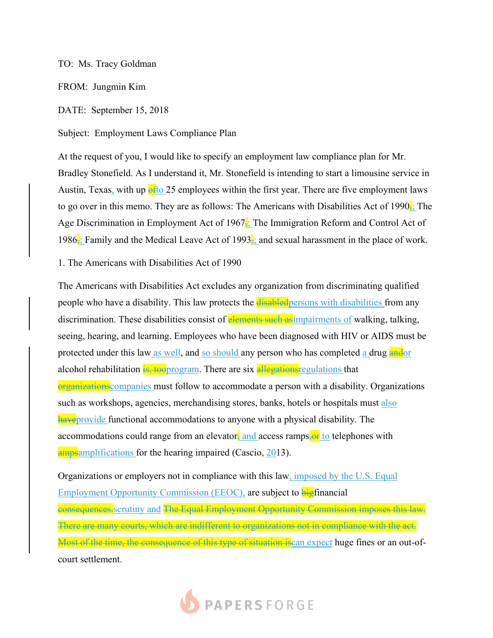## TO: Ms. Tracy Goldman

FROM: Jungmin Kim

DATE: September 15, 2018

Subject: Employment Laws Compliance Plan

At the request of you, I would like to specify an employment law compliance plan for Mr. Bradley Stonefield. As I understand it, Mr. Stonefield is intending to start a limousine service in Austin, Texas, with up  $\frac{1}{2}$  employees within the first year. There are five employment laws to go over in this memo. They are as follows: The Americans with Disabilities Act of 1990 $\frac{1}{3}$ . The Age Discrimination in Employment Act of 1967; The Immigration Reform and Control Act of 1986; Family and the Medical Leave Act of 1993; and sexual harassment in the place of work.

1. The Americans with Disabilities Act of 1990

The Americans with Disabilities Act excludes any organization from discriminating qualified people who have a disability. This law protects the disabled persons with disabilities from any discrimination. These disabilities consist of elements such as impairments of walking, talking, seeing, hearing, and learning. Employees who have been diagnosed with HIV or AIDS must be protected under this law as well, and so should any person who has completed a drug and or alcohol rehabilitation  $\frac{1}{18}$ , too program. There are six allegations regulations that organizations companies must follow to accommodate a person with a disability. Organizations such as workshops, agencies, merchandising stores, banks, hotels or hospitals must also **have** provide functional accommodations to anyone with a physical disability. The accommodations could range from an elevator, and access ramps,  $\Theta$  to telephones with ampsamplifications for the hearing impaired (Cascio, 2013).

Organizations or employers not in compliance with this law, imposed by the U.S. Equal Employment Opportunity Commission (EEOC), are subject to bigfinancial consequences. scrutiny and The Equal Employment Opportunity Commission imposes this law. There are many courts, which are indifferent to organizations not in compliance with the act. Most of the time, the consequence of this type of situation is can expect huge fines or an out-ofcourt settlement.

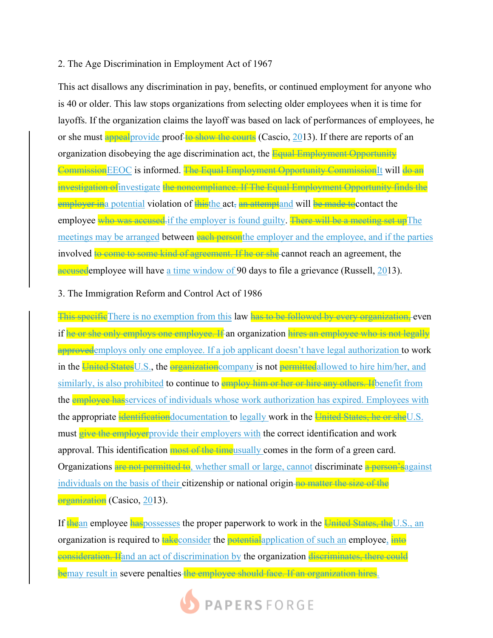## 2. The Age Discrimination in Employment Act of 1967

This act disallows any discrimination in pay, benefits, or continued employment for anyone who is 40 or older. This law stops organizations from selecting older employees when it is time for layoffs. If the organization claims the layoff was based on lack of performances of employees, he or she must appeal provide proof to show the courts (Cascio, 2013). If there are reports of an organization disobeying the age discrimination act, the **Equal Employment Opportunity** Commission EEOC is informed. The Equal Employment Opportunity Commission It will do an investigation ofinvestigate the noncompliance. If The Equal Employment Opportunity finds the employer in a potential violation of this the act, an attempt and will be made to contact the employee who was accused. if the employer is found guilty. There will be a meeting set up The meetings may be arranged between each personthe employer and the employee, and if the parties involved to come to some kind of agreement. If he or she cannot reach an agreement, the accusedemployee will have a time window of 90 days to file a grievance (Russell, 2013).

## 3. The Immigration Reform and Control Act of 1986

This specific There is no exemption from this law has to be followed by every organization, even if he or she only employs one employee. If an organization hires an employee who is not legally approved employs only one employee. If a job applicant doesn't have legal authorization to work in the United States U.S., the organization company is not permitted allowed to hire him/her, and similarly, is also prohibited to continue to employ him or her or hire any others. If benefit from the **employee has** services of individuals whose work authorization has expired. Employees with the appropriate identification documentation to legally work in the United States, he or she U.S. must give the employer provide their employers with the correct identification and work approval. This identification most of the timeusually comes in the form of a green card. Organizations are not permitted to, whether small or large, cannot discriminate a person's against individuals on the basis of their **citizenship or national origin** no matter the size of the organization (Casico, 2013).

If the an employee haspossesses the proper paperwork to work in the United States, the U.S., an organization is required to take consider the potential application of such an employee, into eonsideration. If and an act of discrimination by the organization discriminates, there could bemay result in severe penalties the employee should face. If an organization hires.